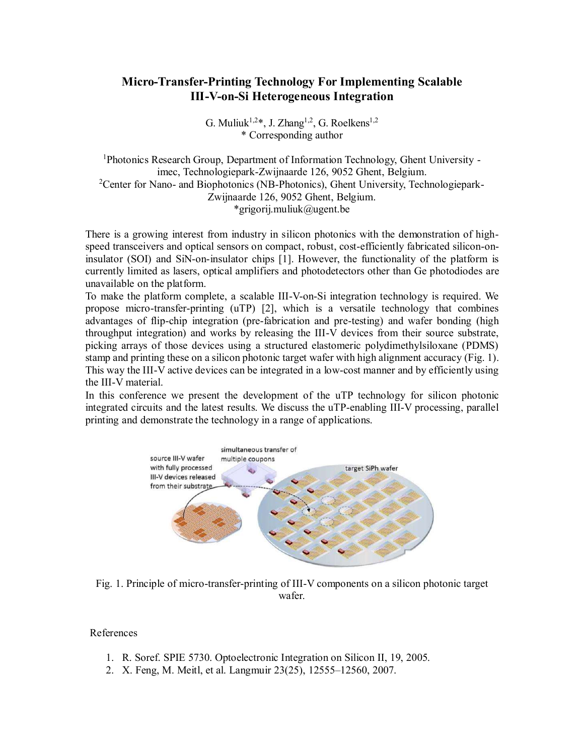## Micro-Transfer-Printing Technology For Implementing Scalable III-V-on-Si Heterogeneous Integration

G. Muliuk<sup>1,2\*</sup>, J. Zhang<sup>1,2</sup>, G. Roelkens<sup>1,2</sup> \* Corresponding author

<sup>1</sup>Photonics Research Group, Department of Information Technology, Ghent University imec, Technologiepark-Zwijnaarde 126, 9052 Ghent, Belgium.<br><sup>2</sup>Center for Nano- and Biophotonics (NB-Photonics), Ghent University, Technologiepark-Zwijnaarde 126, 9052 Ghent, Belgium. \*grigorij.muliuk@ugent.be

There is a growing interest from industry in silicon photonics with the demonstration of highspeed transceivers and optical sensors on compact, robust, cost-efficiently fabricated silicon-oninsulator (SOI) and SiN-on-insulator chips [1]. However, the functionality of the platform is currently limited as lasers, optical amplifiers and photodetectors other than Ge photodiodes are unavailable on the platform.

To make the platform complete, a scalable III-V-on-Si integration technology is required. We propose micro-transfer-printing (uTP) [2], which is a versatile technology that combines advantages of flip-chip integration (pre-fabrication and pre-testing) and wafer bonding (high throughput integration) and works by releasing the III-V devices from their source substrate, picking arrays of those devices using a structured elastomeric polydimethylsiloxane (PDMS) stamp and printing these on a silicon photonic target wafer with high alignment accuracy (Fig. 1). This way the III-V active devices can be integrated in a low-cost manner and by efficiently using the III-V material.

In this conference we present the development of the uTP technology for silicon photonic integrated circuits and the latest results. We discuss the uTP-enabling III-V processing, parallel printing and demonstrate the technology in a range of applications.



Fig. 1. Principle of micro-transfer-printing of III-V components on a silicon photonic target wafer.

References

- 1. R. Soref. SPIE 5730. Optoelectronic Integration on Silicon II, 19, 2005.
- 2. X. Feng, M. Meitl, et al. Langmuir 23(25), 12555–12560, 2007.